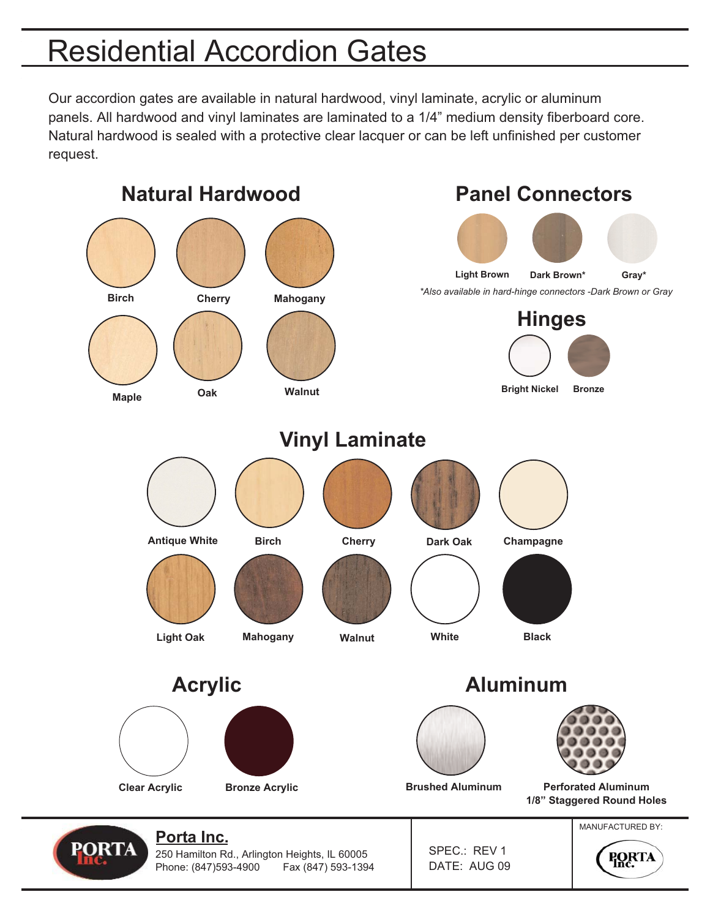## Residential Accordion Gates

Our accordion gates are available in natural hardwood, vinyl laminate, acrylic or aluminum panels. All hardwood and vinyl laminates are laminated to a 1/4" medium density fiberboard core. Natural hardwood is sealed with a protective clear lacquer or can be left unfinished per customer request.